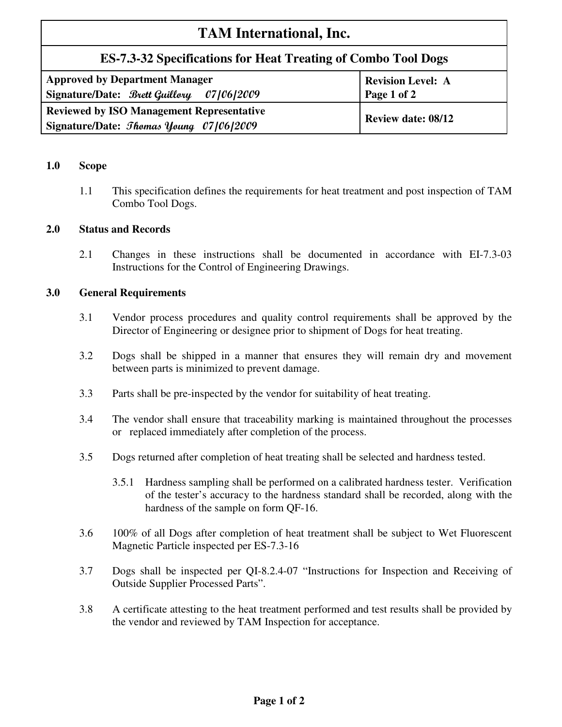# **TAM International, Inc.**

# **ES-7.3-32 Specifications for Heat Treating of Combo Tool Dogs**

| <b>Approved by Department Manager</b>            | Revision Level: A         |
|--------------------------------------------------|---------------------------|
| Signature/Date: Brett Guillory 07/06/2009        | Page 1 of 2               |
| <b>Reviewed by ISO Management Representative</b> | <b>Review date: 08/12</b> |
| Signature/Date: <i>Thomas Young 07/06/2009</i>   |                           |

### **1.0 Scope**

1.1 This specification defines the requirements for heat treatment and post inspection of TAM Combo Tool Dogs.

# **2.0 Status and Records**

2.1 Changes in these instructions shall be documented in accordance with EI-7.3-03 Instructions for the Control of Engineering Drawings.

# **3.0 General Requirements**

- 3.1 Vendor process procedures and quality control requirements shall be approved by the Director of Engineering or designee prior to shipment of Dogs for heat treating.
- 3.2 Dogs shall be shipped in a manner that ensures they will remain dry and movement between parts is minimized to prevent damage.
- 3.3 Parts shall be pre-inspected by the vendor for suitability of heat treating.
- 3.4 The vendor shall ensure that traceability marking is maintained throughout the processes or replaced immediately after completion of the process.
- 3.5 Dogs returned after completion of heat treating shall be selected and hardness tested.
	- 3.5.1 Hardness sampling shall be performed on a calibrated hardness tester. Verification of the tester's accuracy to the hardness standard shall be recorded, along with the hardness of the sample on form QF-16.
- 3.6 100% of all Dogs after completion of heat treatment shall be subject to Wet Fluorescent Magnetic Particle inspected per ES-7.3-16
- 3.7 Dogs shall be inspected per QI-8.2.4-07 "Instructions for Inspection and Receiving of Outside Supplier Processed Parts".
- 3.8 A certificate attesting to the heat treatment performed and test results shall be provided by the vendor and reviewed by TAM Inspection for acceptance.